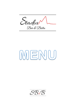Staduv Bar & Bistra

# MENU

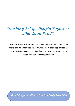## *"Nothing Brings People Together Like Good Food"*

*If you have any special dining or dietary requirements most of our menu can be adapted to meet your needs. Gluten free breads are also available on all burgers and pizzas so please discuss your needs with our knowledgeable staff.*

**Don't Forget to Check Out Our Daily Specials!**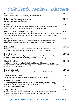|  |  |  | Pulb Grulb, Tasters, Starters |
|--|--|--|-------------------------------|
|--|--|--|-------------------------------|

| Pizza Bread<br>Garlic or Pesto topped with cheese (add bacon for \$3.00)                                                                                                                                             | \$8.00            |
|----------------------------------------------------------------------------------------------------------------------------------------------------------------------------------------------------------------------|-------------------|
| Edamame Beans (gf, df, v, vegan)<br>Steamed with a dusting of sea salt                                                                                                                                               | \$5.00            |
| Platter (df)<br>A selection of crispy deep-fried delicacies served with spicy potato wedges with<br>aioli, tomato & sweet chilli sauce (also available in medium & large)                                            | \$20.00           |
| Nachos – Beef or Pulled Pork $(qf)$<br>Choose either beef & beans or pulled pork set upon nacho chips with melted cheese,<br>sweet chilli sauce & sour cream or bbq sauce, garlic aioli & fresh salsa (pork)         | \$16.00           |
| Wedges<br>Spicy potato wedges topped with cheese & bacon served with a sweet chilli<br>sauce & sour cream (available small or large, with or without cheese & bacon)                                                 | \$16.00           |
| It's a Wrap!<br>Crispy chicken, bacon & creamy coleslaw, a drizzle of chipotle sauce wrapped in<br>a soft tortilla with a side of spicy wedges and sour cream. (2 per serve)                                         | \$16.00           |
| Fish & Chips<br>Beer Battered (or crumbed) 1 piece with our creamy slaw, fries served with tartar<br>& tomato sauce with a slice of lemon (additional piece - \$6.00)                                                | \$19.00           |
| Coca Cola Ribs<br>A full pound of slow cooked pork ribs in a sticky coke & bbq sauce sitting on<br>crispy french fries, with a side of creamy coleslaw & sprinkle of sesame seeds; be<br>prepared, its big and messy | \$24.00           |
| <b>Prawn Cocktail</b><br>Served on shredded lettuce accompanied with a homemade Russian dressing                                                                                                                     | \$13.50           |
| Salt & Pepper Squid<br>Served on a bed of sesame infused coleslaw with a drizzle of aioli                                                                                                                            | \$14.50           |
| <b>Chicken Schnitzel</b><br>A generous portion of crumbed chicken served with creamy coleslaw & crispy<br>fries accompanied by a lite gravy and a lemon wedge.<br>(add parmigiana or mignon)                         | \$23.00<br>\$8.00 |
| Vegetarian Stack (v)<br>A vegetarian patty sitting upon a neapolitan sauce topped with garlic sauteed<br>seasonal vegetables & mushrooms with a drizzle of hollandaise sauce &<br>balsamic reduction                 | \$16.00           |

*- Quiz Every Wednesday Night, Free Entry & Great Prizes -*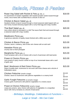

| Roast Veg Salad with Rocket & Feta (gf, dfa, v)<br>An assortment of roasted vegetables with toasted pumpkin seeds tossed through<br>rocket, micro-herbs with crumbled feta & a drizzle of olive oil | \$18.00                  |
|-----------------------------------------------------------------------------------------------------------------------------------------------------------------------------------------------------|--------------------------|
| Chicken & Bacon Salad (gfa, df)<br>Sautéed chicken & bacon tossed through a mixed seasonal salad topped with our<br>own honey mustard dressing topped with a runny fried egg and crispy noodles     | \$18.00                  |
| Thai Beef Salad (gfa, df)<br>Juicy sirloin sliced & marinated in a mild Thai sauce flash fried and tossed through<br>a seasonal salad with crispy noodles                                           | \$20.00                  |
| Meatlovers Pizza (gfa)<br>A generous selection of quality meats finished with a BBQ sauce swirl                                                                                                     | \$15.00                  |
| Chicken & Bacon Pizza (gfa)<br>Chicken, bacon, cranberry, aioli & blue vein cheese with an aioli swirl                                                                                              | \$15.00                  |
| Hawaiian Pizza (gfa)<br>Chunky ham & fresh pineapple                                                                                                                                                | \$15.00                  |
| Margherita Pizza (gfa, v)<br>Fresh tomatoes with a trio of cheese with a touch of parmesan with basil pesto                                                                                         | \$15.00                  |
| Prawn & Chorizo Pizza (gfa)<br>Juicy prawns & spicy chorizo combo on top of our homemade bases with a swirl<br>of garlic aioli                                                                      | \$15.00                  |
| Beef, Mushroom & Red Onion Pizza (gfa)<br>Strips of quality beef, mushrooms & red onion with three cheese and a drizzle of<br>hollandaise sauce                                                     | \$15.00                  |
| Chicken Fettucine (small or large)<br>Chicken, bacon & mushrooms with julienne vegetables in a creamy broth                                                                                         | \$15.00<br>or<br>\$20.00 |
| Garlic Funghi Fettucine (v) (small or large)<br>Creamy garlic mushrooms with julienne vegetables in a creamy sauce                                                                                  | \$15.00<br>or<br>\$20.00 |
| Prawn & Chorizo Fettuccine (small or large)<br>Large juicy prawns, spicy chorizo with julienne of vegetables in a neapolitan<br>sauce with cherry tomatoes & a drizzle of basil pesto               | \$15.00<br>or<br>\$20.00 |

*- Birthdays, Weddings, Celebrations & Functions –*

*Large or Small – We Can Cater*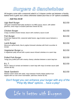Burgers & Sandwiches

All burgers come with a seasonal salad & a 3 cheese combo set between a freshly baked herb & garlic bun unless otherwise stated (bun-less or GF options available).

#### *- Add fries \$3.50*

| <b>Ugly Beef Burger</b><br>150-gram smashed beef patty dunked in our BBQ sauce, bacon, with added<br>gherkins, onion rings & mustard (add blue cheese \$2.00)     | \$13.50 |
|-------------------------------------------------------------------------------------------------------------------------------------------------------------------|---------|
| Chicken Burger<br>Crispy crumbed chicken breast, bacon with cranberry sauce & aioli                                                                               | \$13.50 |
| <b>Fish Burger</b><br>Fresh beer battered fish, seasonal salad leaves, egg & tartare sauce between a<br>bap bun.                                                  | \$13.50 |
| Lamb Burger<br>Moroccan spiced lamb, feta & yoghurt dressed coleslaw with fresh cucumber &<br>tomato                                                              | \$13.50 |
| Vegetarian Burger (v)<br>A vegetarian patty served with a pesto sauce infused coleslaw on a warm bap                                                              | \$13.50 |
| <b>Pulled Pork Burger</b><br>Tangy juicy pulled pork with creamy cheesy coleslaw between a warm bap bun                                                           | \$13.50 |
| B.L.T.<br>Bacon, lettuce & tomato set between a warm bap with mayo & tomato sauce (add<br>chicken \$5.00)                                                         | \$13.50 |
| <b>Steak Sandwich</b><br>Medium sirloin steak with salad, mayo between freshly baked stadium bun<br>topped with our own onion marmalade. (add blue cheese \$2.00) | \$13.50 |

### *Don't forget you can enhance your burger with any of the "Pimp My Meal" options… have a play!*

# Life is better with Burgers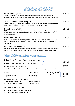Mains & Grill

| Lamb Shank $(gf, dfa)$<br>Tender lamb shank (1) topped with onion marmalade upon buttery, creamy<br>smashed potato with garlic sauteed seasonal vegetables served with our own jus                             | \$30.00 |
|----------------------------------------------------------------------------------------------------------------------------------------------------------------------------------------------------------------|---------|
| Twice Cooked Pork Belly (gf, dfa)<br>Tender pork belly, crackle, topped with a fresh salsa served with our homemade<br>ham, mustard potato rosti with corn coleslaw & our jus reduction                        | \$29.00 |
| Scotch Fillet (gf, dfa)<br>300 grams of prime scotch cooked to your liking accompanied by sauteed greens,<br>mushrooms with creamy mash potato in a pool of jus & a drizzle of our own<br>hollandaise sauce    | \$37.50 |
| Pan Fried Fish (gf)<br>Fillets (2) of our fish of the day, pan fried in butter with sauteed seasonal veg and<br>baked cherry tomatoes, in a garlic, lemon, capers & creamy sauce with a small<br>side of fries | \$29.00 |
| Macadamia Chicken (dfa)<br>Baked chicken breast stuffed with a macadamia & maple crumb wrapped in streaky<br>bacon, on an assortment of roast veg with a macadamia & maple infused gravy                       | \$29.00 |
| The Grill - design your own                                                                                                                                                                                    |         |
| Prime New Zealand Sirloin – 250 grams OR                                                                                                                                                                       |         |
| Prime New Zealand Scotch – 200 grams                                                                                                                                                                           | \$25.00 |
| Add more beef – per 100 grams                                                                                                                                                                                  | \$10.00 |
| cooked to your liking and matched with any of the following to design your own meal:                                                                                                                           |         |

| $\bullet$ fries<br>• salad<br>• garlic root veg.         | • mash potato & gravy<br>coleslaw<br>$\bullet$<br>• sautéed veg. | $\bullet$ onion rings (5)<br>$\bullet$ eggs (2) | \$5.00<br>per item |
|----------------------------------------------------------|------------------------------------------------------------------|-------------------------------------------------|--------------------|
| choose between the following sauces:                     |                                                                  |                                                 |                    |
| • chefs peppered sauce,<br>• garlic & herb butter $(gf)$ | mushroom sauce<br>$\bullet$ red wine jus (gf, df)                |                                                 |                    |

Go the extreme with the added:

- mignon (bacon & mushrooms) \$8.00
- surf & turf (garlic prawns) \$10.00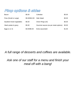Pimp options & sides

| Bacon                    | \$5.00         | Coleslaw                              | \$5.00 |
|--------------------------|----------------|---------------------------------------|--------|
| Fries (Small or Large)   | \$5.00/\$10.00 | Side Salad                            | \$5.00 |
| Sautéed mixed vegetables | \$5.00         | Onion Rings (x5)                      | \$5.00 |
| Mash potato & gravy      | \$5.00         | Gourmet sauces (as per steak options) | \$3.00 |
| Eggs $(1 or 2)$          | \$3.00/\$5.00  | Extra sauce/aioli                     | \$1.00 |

## *A full range of desserts and coffees are available.*

## *Ask one of our staff for a menu and finish your meal off with a bang!*